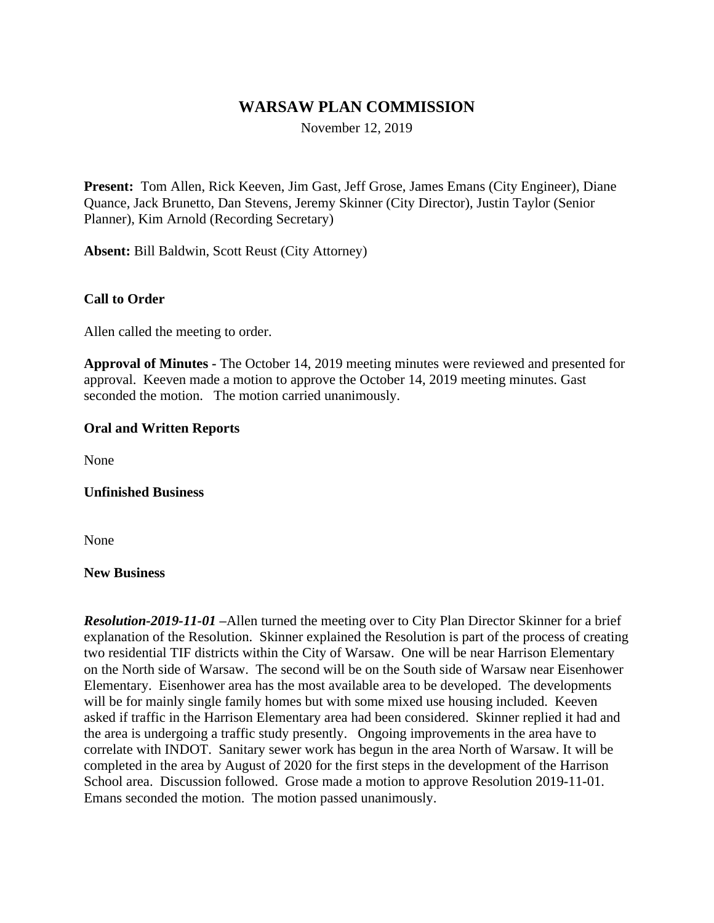# **WARSAW PLAN COMMISSION**

November 12, 2019

**Present:** Tom Allen, Rick Keeven, Jim Gast, Jeff Grose, James Emans (City Engineer), Diane Quance, Jack Brunetto, Dan Stevens, Jeremy Skinner (City Director), Justin Taylor (Senior Planner), Kim Arnold (Recording Secretary)

**Absent:** Bill Baldwin, Scott Reust (City Attorney)

### **Call to Order**

Allen called the meeting to order.

**Approval of Minutes -** The October 14, 2019 meeting minutes were reviewed and presented for approval. Keeven made a motion to approve the October 14, 2019 meeting minutes. Gast seconded the motion. The motion carried unanimously.

### **Oral and Written Reports**

None

### **Unfinished Business**

None

#### **New Business**

*Resolution-2019-11-01 –*Allen turned the meeting over to City Plan Director Skinner for a brief explanation of the Resolution. Skinner explained the Resolution is part of the process of creating two residential TIF districts within the City of Warsaw. One will be near Harrison Elementary on the North side of Warsaw. The second will be on the South side of Warsaw near Eisenhower Elementary. Eisenhower area has the most available area to be developed. The developments will be for mainly single family homes but with some mixed use housing included. Keeven asked if traffic in the Harrison Elementary area had been considered. Skinner replied it had and the area is undergoing a traffic study presently. Ongoing improvements in the area have to correlate with INDOT. Sanitary sewer work has begun in the area North of Warsaw. It will be completed in the area by August of 2020 for the first steps in the development of the Harrison School area. Discussion followed. Grose made a motion to approve Resolution 2019-11-01. Emans seconded the motion. The motion passed unanimously.